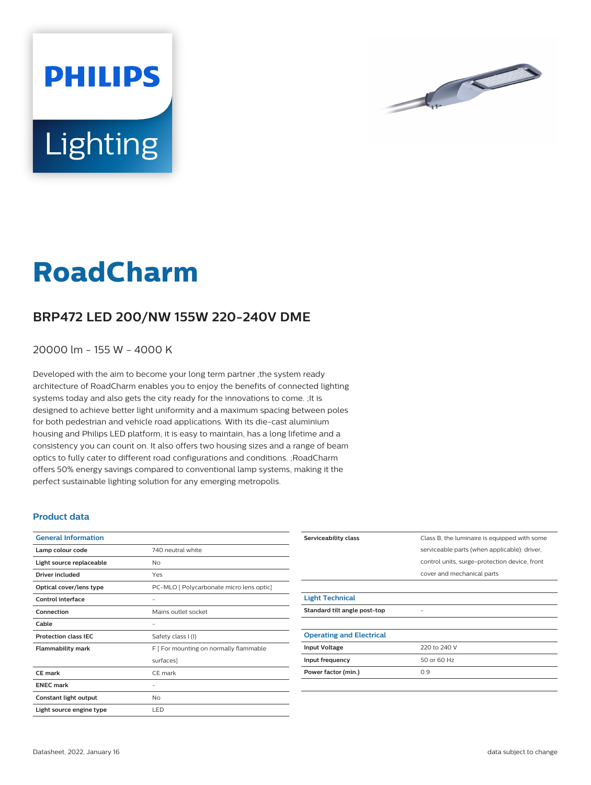



# **RoadCharm**

## **BRP472 LED 200/NW 155W 220-240V DME**

#### 20000 lm - 155 W - 4000 K

Developed with the aim to become your long term partner ,the system ready architecture of RoadCharm enables you to enjoy the benefits of connected lighting systems today and also gets the city ready for the innovations to come. ;It is designed to achieve better light uniformity and a maximum spacing between poles for both pedestrian and vehicle road applications. With its die-cast aluminium housing and Philips LED platform, it is easy to maintain, has a long lifetime and a consistency you can count on. It also offers two housing sizes and a range of beam optics to fully cater to different road configurations and conditions. ;RoadCharm offers 50% energy savings compared to conventional lamp systems, making it the perfect sustainable lighting solution for any emerging metropolis.

#### **Product data**

| <b>General Information</b>  |                                          |
|-----------------------------|------------------------------------------|
| Lamp colour code            | 740 neutral white                        |
| Light source replaceable    | No                                       |
| Driver included             | Yes                                      |
| Optical cover/lens type     | PC-MLO [ Polycarbonate micro lens optic] |
| Control interface           |                                          |
| Connection                  | Mains outlet socket                      |
| Cable                       |                                          |
| <b>Protection class IEC</b> | Safety class I (I)                       |
| <b>Flammability mark</b>    | F [ For mounting on normally flammable   |
|                             | surfaces]                                |
| CF mark                     | CE mark                                  |
| <b>ENEC mark</b>            |                                          |
| Constant light output       | No                                       |
| Light source engine type    | LED                                      |

| Serviceability class            | Class B, the luminaire is equipped with some  |
|---------------------------------|-----------------------------------------------|
|                                 | serviceable parts (when applicable): driver,  |
|                                 | control units, surge-protection device, front |
|                                 | cover and mechanical parts                    |
|                                 |                                               |
| <b>Light Technical</b>          |                                               |
| Standard tilt angle post-top    |                                               |
|                                 |                                               |
| <b>Operating and Electrical</b> |                                               |
| <b>Input Voltage</b>            | 220 to 240 V                                  |
| Input frequency                 | 50 or 60 Hz                                   |
| Power factor (min.)             | 0.9                                           |
|                                 |                                               |